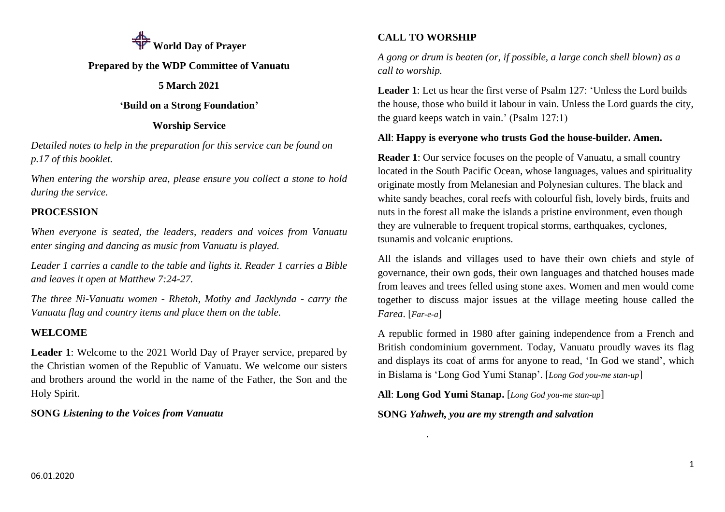

### **Prepared by the WDP Committee of Vanuatu**

### **5 March 2021**

### **'Build on a Strong Foundation'**

### **Worship Service**

*Detailed notes to help in the preparation for this service can be found on p.17 of this booklet.*

*When entering the worship area, please ensure you collect a stone to hold during the service.*

## **PROCESSION**

*When everyone is seated, the leaders, readers and voices from Vanuatu enter singing and dancing as music from Vanuatu is played.* 

*Leader 1 carries a candle to the table and lights it. Reader 1 carries a Bible and leaves it open at Matthew 7:24-27.* 

*The three Ni-Vanuatu women - Rhetoh, Mothy and Jacklynda - carry the Vanuatu flag and country items and place them on the table.*

## **WELCOME**

**Leader 1**: Welcome to the 2021 World Day of Prayer service, prepared by the Christian women of the Republic of Vanuatu. We welcome our sisters and brothers around the world in the name of the Father, the Son and the Holy Spirit.

**SONG** *Listening to the Voices from Vanuatu*

## **CALL TO WORSHIP**

*A gong or drum is beaten (or, if possible, a large conch shell blown) as a call to worship.*

**Leader 1**: Let us hear the first verse of Psalm 127: 'Unless the Lord builds the house, those who build it labour in vain. Unless the Lord guards the city, the guard keeps watch in vain.' (Psalm 127:1)

### **All**: **Happy is everyone who trusts God the house-builder. Amen.**

**Reader 1**: Our service focuses on the people of Vanuatu, a small country located in the South Pacific Ocean, whose languages, values and spirituality originate mostly from Melanesian and Polynesian cultures. The black and white sandy beaches, coral reefs with colourful fish, lovely birds, fruits and nuts in the forest all make the islands a pristine environment, even though they are vulnerable to frequent tropical storms, earthquakes, cyclones, tsunamis and volcanic eruptions.

All the islands and villages used to have their own chiefs and style of governance, their own gods, their own languages and thatched houses made from leaves and trees felled using stone axes. Women and men would come together to discuss major issues at the village meeting house called the *Farea*. [*Far-e-a*]

A republic formed in 1980 after gaining independence from a French and British condominium government. Today, Vanuatu proudly waves its flag and displays its coat of arms for anyone to read, 'In God we stand', which in Bislama is 'Long God Yumi Stanap'. [*Long God you-me stan-up*]

**All**: **Long God Yumi Stanap.** [*Long God you-me stan-up*]

**SONG** *Yahweh, you are my strength and salvation*

*.*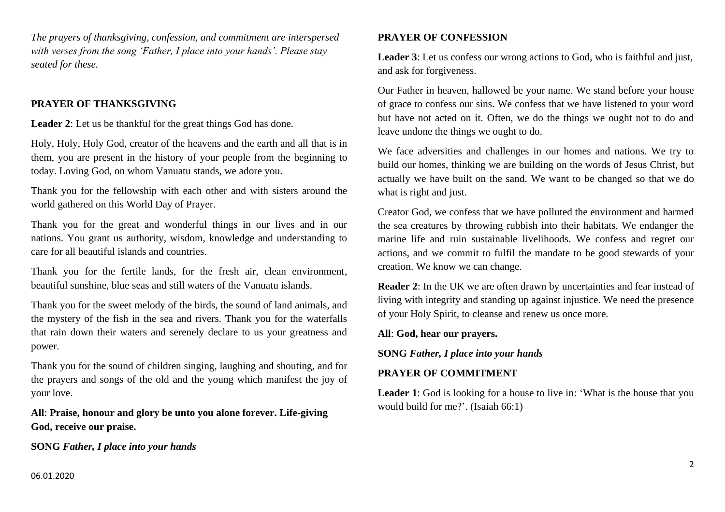*The prayers of thanksgiving, confession, and commitment are interspersed with verses from the song 'Father, I place into your hands'. Please stay seated for these.* 

### **PRAYER OF THANKSGIVING**

**Leader 2**: Let us be thankful for the great things God has done.

Holy, Holy, Holy God, creator of the heavens and the earth and all that is in them, you are present in the history of your people from the beginning to today. Loving God, on whom Vanuatu stands, we adore you.

Thank you for the fellowship with each other and with sisters around the world gathered on this World Day of Prayer.

Thank you for the great and wonderful things in our lives and in our nations. You grant us authority, wisdom, knowledge and understanding to care for all beautiful islands and countries.

Thank you for the fertile lands, for the fresh air, clean environment, beautiful sunshine, blue seas and still waters of the Vanuatu islands.

Thank you for the sweet melody of the birds, the sound of land animals, and the mystery of the fish in the sea and rivers. Thank you for the waterfalls that rain down their waters and serenely declare to us your greatness and power.

Thank you for the sound of children singing, laughing and shouting, and for the prayers and songs of the old and the young which manifest the joy of your love.

**All**: **Praise, honour and glory be unto you alone forever. Life-giving God, receive our praise.**

**SONG** *Father, I place into your hands*

## **PRAYER OF CONFESSION**

**Leader 3**: Let us confess our wrong actions to God, who is faithful and just, and ask for forgiveness.

Our Father in heaven, hallowed be your name. We stand before your house of grace to confess our sins. We confess that we have listened to your word but have not acted on it. Often, we do the things we ought not to do and leave undone the things we ought to do.

We face adversities and challenges in our homes and nations. We try to build our homes, thinking we are building on the words of Jesus Christ, but actually we have built on the sand. We want to be changed so that we do what is right and just.

Creator God, we confess that we have polluted the environment and harmed the sea creatures by throwing rubbish into their habitats. We endanger the marine life and ruin sustainable livelihoods. We confess and regret our actions, and we commit to fulfil the mandate to be good stewards of your creation. We know we can change.

**Reader 2**: In the UK we are often drawn by uncertainties and fear instead of living with integrity and standing up against injustice. We need the presence of your Holy Spirit, to cleanse and renew us once more.

**All**: **God, hear our prayers.**

**SONG** *Father, I place into your hands*

## **PRAYER OF COMMITMENT**

**Leader 1**: God is looking for a house to live in: 'What is the house that you would build for me?'. (Isaiah 66:1)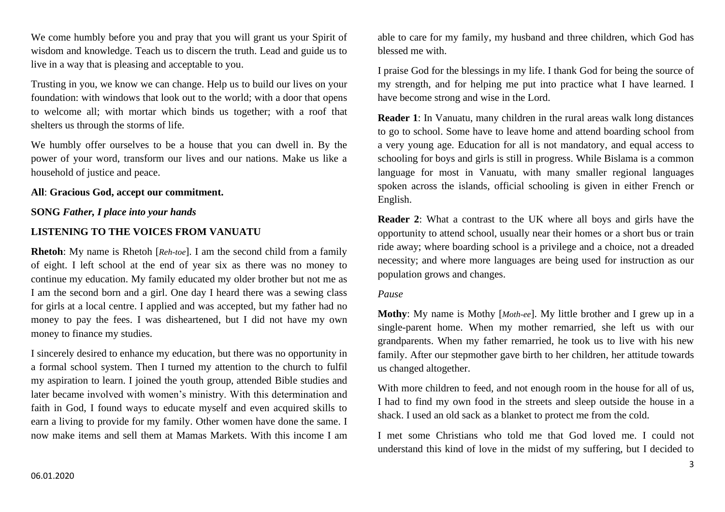We come humbly before you and pray that you will grant us your Spirit of wisdom and knowledge. Teach us to discern the truth. Lead and guide us to live in a way that is pleasing and acceptable to you.

Trusting in you, we know we can change. Help us to build our lives on your foundation: with windows that look out to the world; with a door that opens to welcome all; with mortar which binds us together; with a roof that shelters us through the storms of life.

We humbly offer ourselves to be a house that you can dwell in. By the power of your word, transform our lives and our nations. Make us like a household of justice and peace.

#### **All**: **Gracious God, accept our commitment.**

#### **SONG** *Father, I place into your hands*

### **LISTENING TO THE VOICES FROM VANUATU**

**Rhetoh**: My name is Rhetoh [*Reh-toe*]. I am the second child from a family of eight. I left school at the end of year six as there was no money to continue my education. My family educated my older brother but not me as I am the second born and a girl. One day I heard there was a sewing class for girls at a local centre. I applied and was accepted, but my father had no money to pay the fees. I was disheartened, but I did not have my own money to finance my studies.

I sincerely desired to enhance my education, but there was no opportunity in a formal school system. Then I turned my attention to the church to fulfil my aspiration to learn. I joined the youth group, attended Bible studies and later became involved with women's ministry. With this determination and faith in God, I found ways to educate myself and even acquired skills to earn a living to provide for my family. Other women have done the same. I now make items and sell them at Mamas Markets. With this income I am able to care for my family, my husband and three children, which God has blessed me with.

I praise God for the blessings in my life. I thank God for being the source of my strength, and for helping me put into practice what I have learned. I have become strong and wise in the Lord.

**Reader 1**: In Vanuatu, many children in the rural areas walk long distances to go to school. Some have to leave home and attend boarding school from a very young age. Education for all is not mandatory, and equal access to schooling for boys and girls is still in progress. While Bislama is a common language for most in Vanuatu, with many smaller regional languages spoken across the islands, official schooling is given in either French or English.

**Reader 2**: What a contrast to the UK where all boys and girls have the opportunity to attend school, usually near their homes or a short bus or train ride away; where boarding school is a privilege and a choice, not a dreaded necessity; and where more languages are being used for instruction as our population grows and changes.

#### *Pause*

**Mothy**: My name is Mothy [*Moth-ee*]. My little brother and I grew up in a single-parent home. When my mother remarried, she left us with our grandparents. When my father remarried, he took us to live with his new family. After our stepmother gave birth to her children, her attitude towards us changed altogether.

With more children to feed, and not enough room in the house for all of us, I had to find my own food in the streets and sleep outside the house in a shack. I used an old sack as a blanket to protect me from the cold.

I met some Christians who told me that God loved me. I could not understand this kind of love in the midst of my suffering, but I decided to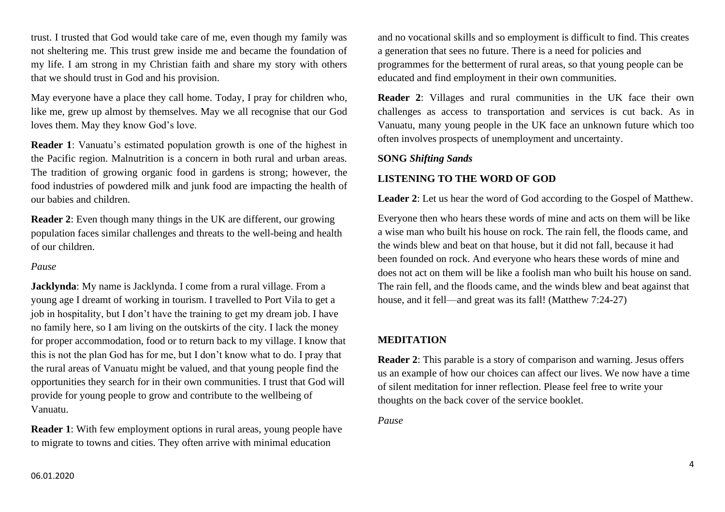trust. I trusted that God would take care of me, even though my family was not sheltering me. This trust grew inside me and became the foundation of my life. I am strong in my Christian faith and share my story with others that we should trust in God and his provision.

May everyone have a place they call home. Today, I pray for children who, like me, grew up almost by themselves. May we all recognise that our God loves them. May they know God's love.

**Reader 1**: Vanuatu's estimated population growth is one of the highest in the Pacific region. Malnutrition is a concern in both rural and urban areas. The tradition of growing organic food in gardens is strong; however, the food industries of powdered milk and junk food are impacting the health of our babies and children.

**Reader 2**: Even though many things in the UK are different, our growing population faces similar challenges and threats to the well-being and health of our children.

#### *Pause*

**Jacklynda**: My name is Jacklynda. I come from a rural village. From a young age I dreamt of working in tourism. I travelled to Port Vila to get a job in hospitality, but I don't have the training to get my dream job. I have no family here, so I am living on the outskirts of the city. I lack the money for proper accommodation, food or to return back to my village. I know that this is not the plan God has for me, but I don't know what to do. I pray that the rural areas of Vanuatu might be valued, and that young people find the opportunities they search for in their own communities. I trust that God will provide for young people to grow and contribute to the wellbeing of Vanuatu.

**Reader** 1: With few employment options in rural areas, young people have to migrate to towns and cities. They often arrive with minimal education

and no vocational skills and so employment is difficult to find. This creates a generation that sees no future. There is a need for policies and programmes for the betterment of rural areas, so that young people can be educated and find employment in their own communities.

**Reader 2**: Villages and rural communities in the UK face their own challenges as access to transportation and services is cut back. As in Vanuatu, many young people in the UK face an unknown future which too often involves prospects of unemployment and uncertainty.

#### **SONG** *Shifting Sands*

## **LISTENING TO THE WORD OF GOD**

**Leader 2**: Let us hear the word of God according to the Gospel of Matthew.

Everyone then who hears these words of mine and acts on them will be like a wise man who built his house on rock. The rain fell, the floods came, and the winds blew and beat on that house, but it did not fall, because it had been founded on rock. And everyone who hears these words of mine and does not act on them will be like a foolish man who built his house on sand. The rain fell, and the floods came, and the winds blew and beat against that house, and it fell—and great was its fall! (Matthew 7:24-27)

## **MEDITATION**

**Reader 2**: This parable is a story of comparison and warning. Jesus offers us an example of how our choices can affect our lives. We now have a time of silent meditation for inner reflection. Please feel free to write your thoughts on the back cover of the service booklet.

*Pause*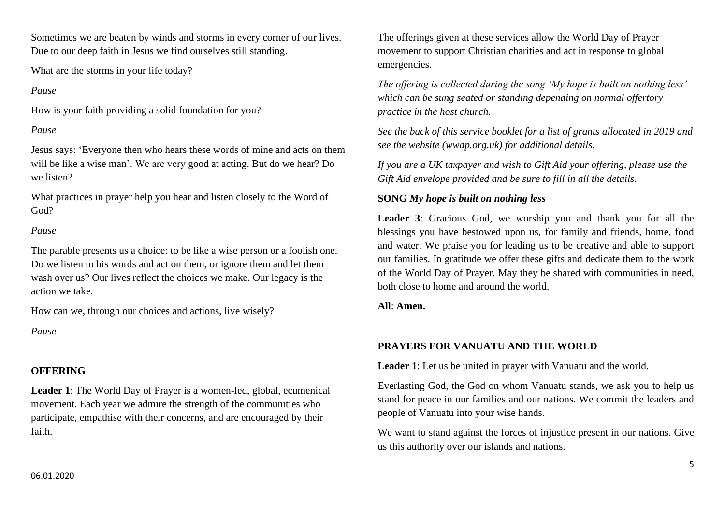Sometimes we are beaten by winds and storms in every corner of our lives. Due to our deep faith in Jesus we find ourselves still standing.

What are the storms in your life today?

### *Pause*

How is your faith providing a solid foundation for you?

## *Pause*

Jesus says: 'Everyone then who hears these words of mine and acts on them will be like a wise man'. We are very good at acting. But do we hear? Do we listen?

What practices in prayer help you hear and listen closely to the Word of God?

## *Pause*

The parable presents us a choice: to be like a wise person or a foolish one. Do we listen to his words and act on them, or ignore them and let them wash over us? Our lives reflect the choices we make. Our legacy is the action we take.

How can we, through our choices and actions, live wisely?

*Pause*

# **OFFERING**

**Leader 1**: The World Day of Prayer is a women-led, global, ecumenical movement. Each year we admire the strength of the communities who participate, empathise with their concerns, and are encouraged by their faith.

The offerings given at these services allow the World Day of Prayer movement to support Christian charities and act in response to global emergencies.

*The offering is collected during the song 'My hope is built on nothing less' which can be sung seated or standing depending on normal offertory practice in the host church.*

*See the back of this service booklet for a list of grants allocated in 2019 and see the website (wwdp.org.uk) for additional details.*

*If you are a UK taxpayer and wish to Gift Aid your offering, please use the Gift Aid envelope provided and be sure to fill in all the details.*

## **SONG** *My hope is built on nothing less*

**Leader 3**: Gracious God, we worship you and thank you for all the blessings you have bestowed upon us, for family and friends, home, food and water. We praise you for leading us to be creative and able to support our families. In gratitude we offer these gifts and dedicate them to the work of the World Day of Prayer. May they be shared with communities in need, both close to home and around the world.

**All**: **Amen.**

# **PRAYERS FOR VANUATU AND THE WORLD**

**Leader 1**: Let us be united in prayer with Vanuatu and the world.

Everlasting God, the God on whom Vanuatu stands, we ask you to help us stand for peace in our families and our nations. We commit the leaders and people of Vanuatu into your wise hands.

We want to stand against the forces of injustice present in our nations. Give us this authority over our islands and nations.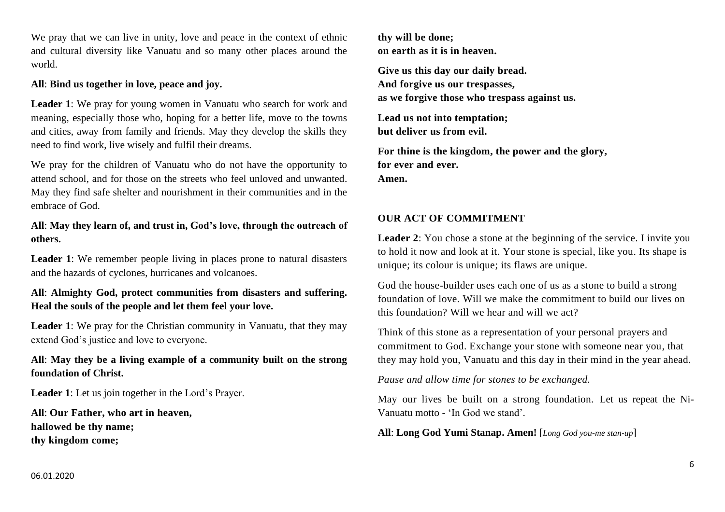We pray that we can live in unity, love and peace in the context of ethnic and cultural diversity like Vanuatu and so many other places around the world.

### **All**: **Bind us together in love, peace and joy.**

**Leader 1**: We pray for young women in Vanuatu who search for work and meaning, especially those who, hoping for a better life, move to the towns and cities, away from family and friends. May they develop the skills they need to find work, live wisely and fulfil their dreams.

We pray for the children of Vanuatu who do not have the opportunity to attend school, and for those on the streets who feel unloved and unwanted. May they find safe shelter and nourishment in their communities and in the embrace of God.

**All**: **May they learn of, and trust in, God's love, through the outreach of others.** 

**Leader 1**: We remember people living in places prone to natural disasters and the hazards of cyclones, hurricanes and volcanoes.

## **All**: **Almighty God, protect communities from disasters and suffering. Heal the souls of the people and let them feel your love.**

**Leader 1**: We pray for the Christian community in Vanuatu, that they may extend God's justice and love to everyone.

## **All**: **May they be a living example of a community built on the strong foundation of Christ.**

**Leader 1**: Let us join together in the Lord's Prayer.

**All**: **Our Father, who art in heaven, hallowed be thy name; thy kingdom come;** 

**thy will be done; on earth as it is in heaven.** 

**Give us this day our daily bread. And forgive us our trespasses, as we forgive those who trespass against us.** 

**Lead us not into temptation; but deliver us from evil.** 

**For thine is the kingdom, the power and the glory, for ever and ever. Amen.**

## **OUR ACT OF COMMITMENT**

**Leader 2**: You chose a stone at the beginning of the service. I invite you to hold it now and look at it. Your stone is special, like you. Its shape is unique; its colour is unique; its flaws are unique.

God the house-builder uses each one of us as a stone to build a strong foundation of love. Will we make the commitment to build our lives on this foundation? Will we hear and will we act?

Think of this stone as a representation of your personal prayers and commitment to God. Exchange your stone with someone near you, that they may hold you, Vanuatu and this day in their mind in the year ahead.

*Pause and allow time for stones to be exchanged.*

May our lives be built on a strong foundation. Let us repeat the Ni-Vanuatu motto - 'In God we stand'.

**All**: **Long God Yumi Stanap. Amen!** [*Long God you-me stan-up*]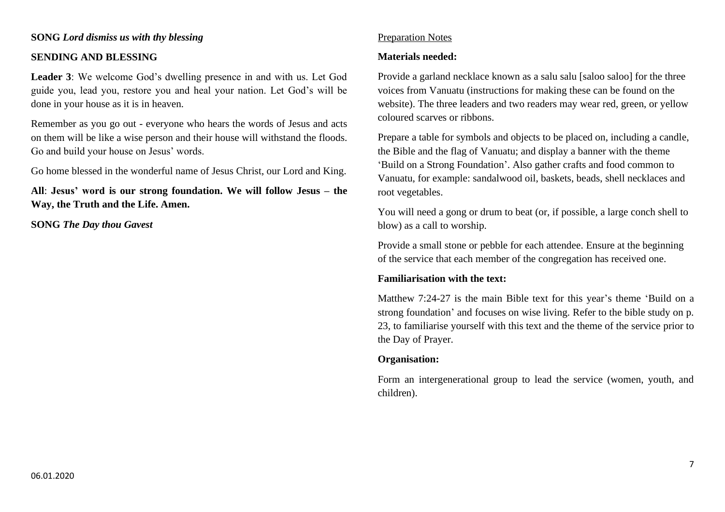#### **SONG** *Lord dismiss us with thy blessing*

#### **SENDING AND BLESSING**

**Leader 3**: We welcome God's dwelling presence in and with us. Let God guide you, lead you, restore you and heal your nation. Let God's will be done in your house as it is in heaven.

Remember as you go out - everyone who hears the words of Jesus and acts on them will be like a wise person and their house will withstand the floods. Go and build your house on Jesus' words.

Go home blessed in the wonderful name of Jesus Christ, our Lord and King.

**All**: **Jesus' word is our strong foundation. We will follow Jesus – the Way, the Truth and the Life. Amen.**

**SONG** *The Day thou Gavest*

### Preparation Notes

#### **Materials needed:**

Provide a garland necklace known as a salu salu [saloo saloo] for the three voices from Vanuatu (instructions for making these can be found on the website). The three leaders and two readers may wear red, green, or yellow coloured scarves or ribbons.

Prepare a table for symbols and objects to be placed on, including a candle, the Bible and the flag of Vanuatu; and display a banner with the theme 'Build on a Strong Foundation'. Also gather crafts and food common to Vanuatu, for example: sandalwood oil, baskets, beads, shell necklaces and root vegetables.

You will need a gong or drum to beat (or, if possible, a large conch shell to blow) as a call to worship.

Provide a small stone or pebble for each attendee. Ensure at the beginning of the service that each member of the congregation has received one.

### **Familiarisation with the text:**

Matthew 7:24-27 is the main Bible text for this year's theme 'Build on a strong foundation' and focuses on wise living. Refer to the bible study on p. 23, to familiarise yourself with this text and the theme of the service prior to the Day of Prayer.

### **Organisation:**

Form an intergenerational group to lead the service (women, youth, and children).